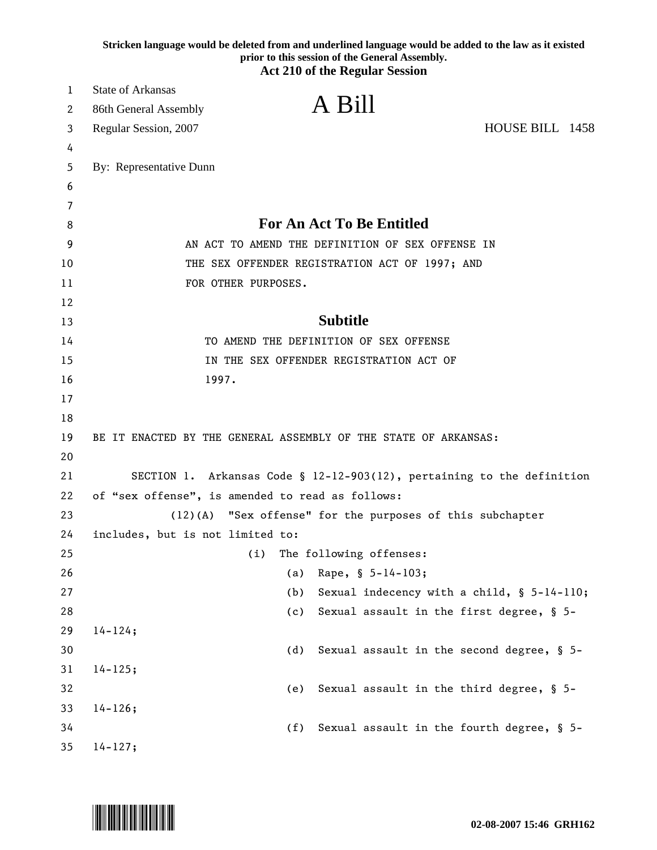|        | Stricken language would be deleted from and underlined language would be added to the law as it existed<br>prior to this session of the General Assembly.<br><b>Act 210 of the Regular Session</b> |
|--------|----------------------------------------------------------------------------------------------------------------------------------------------------------------------------------------------------|
|        |                                                                                                                                                                                                    |
| 1      | <b>State of Arkansas</b><br>A Bill                                                                                                                                                                 |
| 2      | 86th General Assembly                                                                                                                                                                              |
| 3      | HOUSE BILL 1458<br>Regular Session, 2007                                                                                                                                                           |
| 4      |                                                                                                                                                                                                    |
| 5      | By: Representative Dunn                                                                                                                                                                            |
| 6      |                                                                                                                                                                                                    |
| 7<br>8 | <b>For An Act To Be Entitled</b>                                                                                                                                                                   |
| 9      | AN ACT TO AMEND THE DEFINITION OF SEX OFFENSE IN                                                                                                                                                   |
| 10     | THE SEX OFFENDER REGISTRATION ACT OF 1997; AND                                                                                                                                                     |
| 11     | FOR OTHER PURPOSES.                                                                                                                                                                                |
| 12     |                                                                                                                                                                                                    |
| 13     | <b>Subtitle</b>                                                                                                                                                                                    |
| 14     | TO AMEND THE DEFINITION OF SEX OFFENSE                                                                                                                                                             |
| 15     | IN THE SEX OFFENDER REGISTRATION ACT OF                                                                                                                                                            |
| 16     | 1997.                                                                                                                                                                                              |
| 17     |                                                                                                                                                                                                    |
| 18     |                                                                                                                                                                                                    |
| 19     | BE IT ENACTED BY THE GENERAL ASSEMBLY OF THE STATE OF ARKANSAS:                                                                                                                                    |
| 20     |                                                                                                                                                                                                    |
| 21     | SECTION 1. Arkansas Code § 12-12-903(12), pertaining to the definition                                                                                                                             |
| 22     | of "sex offense", is amended to read as follows:                                                                                                                                                   |
| 23     | "Sex offense" for the purposes of this subchapter<br>(12)(A)                                                                                                                                       |
| 24     | includes, but is not limited to:                                                                                                                                                                   |
| 25     | The following offenses:<br>(i)                                                                                                                                                                     |
| 26     | Rape, § 5-14-103;<br>(a)                                                                                                                                                                           |
| 27     | Sexual indecency with a child, § 5-14-110;<br>(b)                                                                                                                                                  |
| 28     | Sexual assault in the first degree, § 5-<br>(c)                                                                                                                                                    |
| 29     | $14 - 124;$                                                                                                                                                                                        |
| 30     | Sexual assault in the second degree, § 5-<br>(d)                                                                                                                                                   |
| 31     | $14 - 125;$                                                                                                                                                                                        |
| 32     | Sexual assault in the third degree, § 5-<br>(e)                                                                                                                                                    |
| 33     | $14 - 126;$                                                                                                                                                                                        |
| 34     | Sexual assault in the fourth degree, § 5-<br>(f)                                                                                                                                                   |
| 35     | $14 - 127;$                                                                                                                                                                                        |

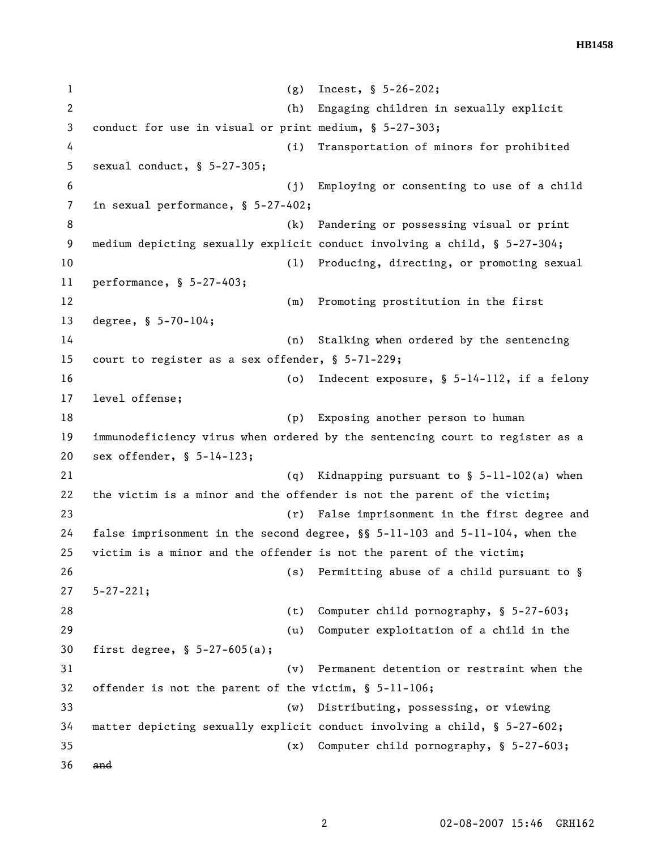**HB1458** 

1 (g) Incest, § 5-26-202; 2 (h) Engaging children in sexually explicit 3 conduct for use in visual or print medium, § 5-27-303; 4 (i) Transportation of minors for prohibited 5 sexual conduct, § 5-27-305; 6 (j) Employing or consenting to use of a child 7 in sexual performance, § 5-27-402; 8 (k) Pandering or possessing visual or print 9 medium depicting sexually explicit conduct involving a child, § 5-27-304; 10 (l) Producing, directing, or promoting sexual 11 performance, § 5-27-403; 12 (m) Promoting prostitution in the first 13 degree, § 5-70-104; 14 (n) Stalking when ordered by the sentencing 15 court to register as a sex offender, § 5-71-229; 16 (o) Indecent exposure, § 5-14-112, if a felony 17 level offense; 18 (p) Exposing another person to human 19 immunodeficiency virus when ordered by the sentencing court to register as a 20 sex offender, § 5-14-123; 21 (q) Kidnapping pursuant to § 5-11-102(a) when 22 the victim is a minor and the offender is not the parent of the victim; 23 (r) False imprisonment in the first degree and 24 false imprisonment in the second degree, §§ 5-11-103 and 5-11-104, when the 25 victim is a minor and the offender is not the parent of the victim; 26 (s) Permitting abuse of a child pursuant to § 27 5-27-221; 28 (t) Computer child pornography, § 5-27-603; 29 (u) Computer exploitation of a child in the 30 first degree, § 5-27-605(a); 31 (v) Permanent detention or restraint when the 32 offender is not the parent of the victim, § 5-11-106; 33 (w) Distributing, possessing, or viewing 34 matter depicting sexually explicit conduct involving a child, § 5-27-602; 35 (x) Computer child pornography, § 5-27-603; 36 and